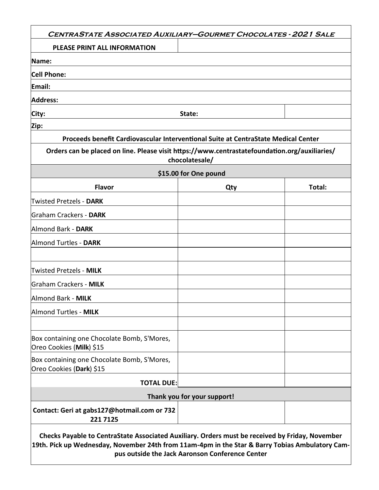| <b>CENTRASTATE ASSOCIATED AUXILIARY-GOURMET CHOCOLATES - 2021 SALE</b>                        |                             |        |
|-----------------------------------------------------------------------------------------------|-----------------------------|--------|
| PLEASE PRINT ALL INFORMATION                                                                  |                             |        |
| Name:                                                                                         |                             |        |
| <b>Cell Phone:</b>                                                                            |                             |        |
| Email:                                                                                        |                             |        |
| <b>Address:</b>                                                                               |                             |        |
| City:                                                                                         | State:                      |        |
| Zip:                                                                                          |                             |        |
| Proceeds benefit Cardiovascular Interventional Suite at CentraState Medical Center            |                             |        |
| Orders can be placed on line. Please visit https://www.centrastatefoundation.org/auxiliaries/ | chocolatesale/              |        |
|                                                                                               | \$15.00 for One pound       |        |
| <b>Flavor</b>                                                                                 | Qty                         | Total: |
| <b>Twisted Pretzels - DARK</b>                                                                |                             |        |
| Graham Crackers - DARK                                                                        |                             |        |
| Almond Bark - DARK                                                                            |                             |        |
| Almond Turtles - DARK                                                                         |                             |        |
|                                                                                               |                             |        |
| <b>Twisted Pretzels - MILK</b>                                                                |                             |        |
| Graham Crackers - MILK                                                                        |                             |        |
| Almond Bark - MILK                                                                            |                             |        |
| Almond Turtles - MILK                                                                         |                             |        |
|                                                                                               |                             |        |
| Box containing one Chocolate Bomb, S'Mores,<br>Oreo Cookies (Milk) \$15                       |                             |        |
| Box containing one Chocolate Bomb, S'Mores,<br>Oreo Cookies (Dark) \$15                       |                             |        |
| <b>TOTAL DUE:</b>                                                                             |                             |        |
|                                                                                               | Thank you for your support! |        |
| Contact: Geri at gabs127@hotmail.com or 732<br>221 7125                                       |                             |        |

**19th. Pick up Wednesday, November 24th from 11am-4pm in the Star & Barry Tobias Ambulatory Campus outside the Jack Aaronson Conference Center**